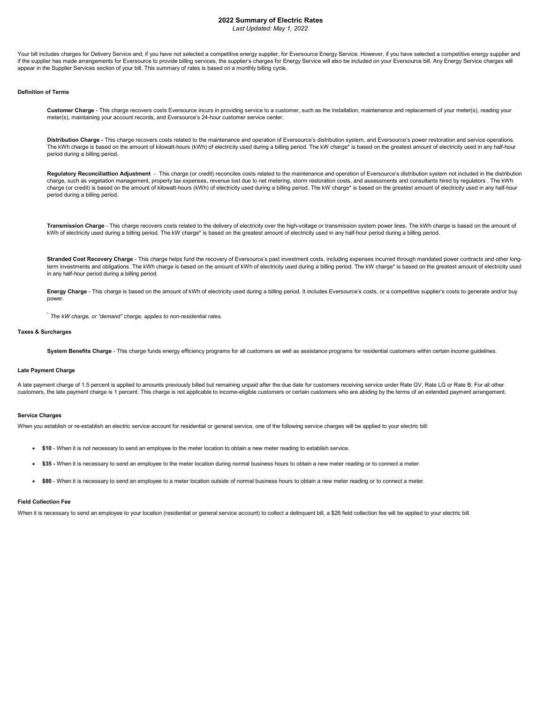### 2022 Summary of Electric Rates Last Updated: May 1, 2022

Your bill includes charges for Delivery Service and, if you have not selected a competitive energy supplier, for Eversource Energy Service. However, if you have selected a competitive energy supplier and if the supplier has made arrangements for Eversource to provide billing services, the supplier's charges for Energy Service will also be included on your Eversource bill. Any Energy Service charges will appear in the Supplier Services section of your bill. This summary of rates is based on a monthly billing cycle.

## Definition of Terms

Customer Charge - This charge recovers costs Eversource incurs in providing service to a customer, such as the installation, maintenance and replacement of your meter(s), reading your meter(s), maintaining your account records, and Eversource's 24-hour customer service center.

Distribution Charge - This charge recovers costs related to the maintenance and operation of Eversource's distribution system, and Eversource's power restoration and service operations. The kWh charge is based on the amount of kilowatt-hours (kWh) of electricity used during a billing period. The kW charge\* is based on the greatest amount of electricity used in any half-hour period during a billing period.

Regulatory Reconciliattion Adjustment - This charge (or credit) reconciles costs related to the maintenance and operation of Eversource's distribution system not included in the distribution charge, such as vegetation management, property tax expenses, revenue lost due to net metering, storm restoration costs, and assessments and consultants hired by regulators . The kWh charge (or credit) is based on the amount of kilowatt-hours (kWh) of electricity used during a billing period. The kW charge\* is based on the greatest amount of electricity used in any half-hour period during a billing period.

Transmission Charge - This charge recovers costs related to the delivery of electricity over the high-voltage or transmission system power lines. The kWh charge is based on the amount of kWh of electricity used during a billing period. The kW charge\* is based on the greatest amount of electricity used in any half-hour period during a billing period.

Stranded Cost Recovery Charge - This charge helps fund the recovery of Eversource's past investment costs, including expenses incurred through mandated power contracts and other longterm investments and obligations. The kWh charge is based on the amount of kWh of electricity used during a billing period. The kW charge\* is based on the greatest amount of electricity used in any half-hour period during a billing period.

Energy Charge - This charge is based on the amount of kWh of electricity used during a billing period. It includes Eversource's costs, or a competitive supplier's costs to generate and/or buy power.

\* The kW charge, or "demand" charge, applies to non-residential rates.

#### Taxes & Surcharges

System Benefits Charge - This charge funds energy efficiency programs for all customers as well as assistance programs for residential customers within certain income guidelines.

### Late Payment Charge

A late payment charge of 1.5 percent is applied to amounts previously billed but remaining unpaid after the due date for customers receiving service under Rate GV, Rate LG or Rate B. For all other customers, the late payment charge is 1 percent. This charge is not applicable to income-eligible customers or certain customers who are abiding by the terms of an extended payment arrangement.

## Service Charges

When you establish or re-establish an electric service account for residential or general service, one of the following service charges will be applied to your electric bill:

- \$10 When it is not necessary to send an employee to the meter location to obtain a new meter reading to establish service.
- \$35 When it is necessary to send an employee to the meter location during normal business hours to obtain a new meter reading or to connect a meter.
- \$80 When it is necessary to send an employee to a meter location outside of normal business hours to obtain a new meter reading or to connect a meter.

### Field Collection Fee

When it is necessary to send an employee to your location (residential or general service account) to collect a delinquent bill, a \$26 field collection fee will be applied to your electric bill.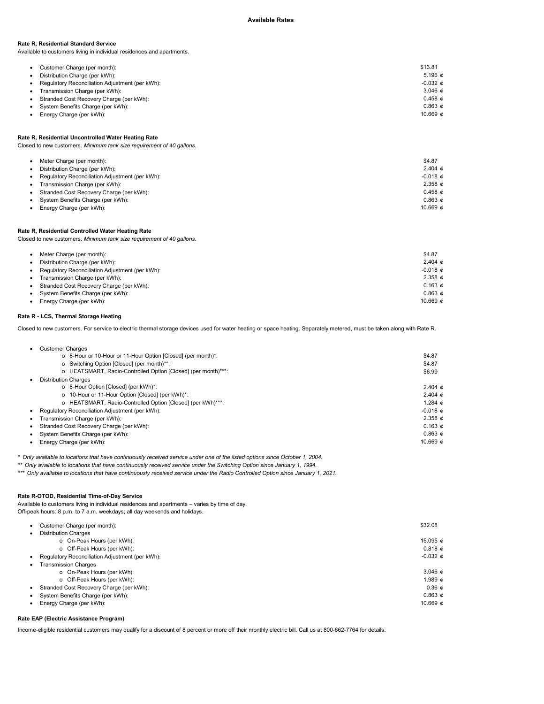## Rate R, Residential Standard Service

Available to customers living in individual residences and apartments.

| Customer Charge (per month):                    | \$13.81               |
|-------------------------------------------------|-----------------------|
| Distribution Charge (per kWh):                  | 5.196 $d$             |
| Regulatory Reconciliation Adjustment (per kWh): | $-0.032 \notin$       |
| Transmission Charge (per kWh):                  | 3.046 $\phi$          |
| Stranded Cost Recovery Charge (per kWh):        | $0.458 \text{ } \phi$ |
| System Benefits Charge (per kWh):               | 0.863 d               |
| Energy Charge (per kWh):                        | 10.669 $\phi$         |

# Rate R, Residential Uncontrolled Water Heating Rate

Closed to new customers. Minimum tank size requirement of 40 gallons.

|           | Meter Charge (per month):                       | \$4.87                |
|-----------|-------------------------------------------------|-----------------------|
|           | Distribution Charge (per kWh):                  | 2.404 $\phi$          |
|           | Regulatory Reconciliation Adjustment (per kWh): | $-0.018$ $d$          |
| $\bullet$ | Transmission Charge (per kWh):                  | $2.358 \text{ } \phi$ |
| $\bullet$ | Stranded Cost Recovery Charge (per kWh):        | $0.458 \text{ } \phi$ |
|           | System Benefits Charge (per kWh):               | 0.863 d               |
|           | Energy Charge (per kWh):                        | 10.669 $d$            |

## Rate R, Residential Controlled Water Heating Rate

Closed to new customers. Minimum tank size requirement of 40 gallons.

| Meter Charge (per month):<br>Distribution Charge (per kWh):<br>Regulatory Reconciliation Adjustment (per kWh):<br>Transmission Charge (per kWh):<br>Stranded Cost Recovery Charge (per kWh): | \$4.87<br>2.404 $\phi$<br>$-0.018$ $d$<br>$2.358 \text{ } \phi$<br>$0.163 \, d$ |
|----------------------------------------------------------------------------------------------------------------------------------------------------------------------------------------------|---------------------------------------------------------------------------------|
| System Benefits Charge (per kWh):                                                                                                                                                            | $0.863 \notin$                                                                  |
| Energy Charge (per kWh):                                                                                                                                                                     | 10.669 $\phi$                                                                   |

# Rate R - LCS, Thermal Storage Heating

Closed to new customers. For service to electric thermal storage devices used for water heating or space heating. Separately metered, must be taken along with Rate R.

| <b>Customer Charges</b>                                       |                        |
|---------------------------------------------------------------|------------------------|
| o 8-Hour or 10-Hour or 11-Hour Option [Closed] (per month)*:  | \$4.87                 |
| o Switching Option [Closed] (per month)**:                    | \$4.87                 |
| o HEATSMART, Radio-Controlled Option [Closed] (per month)***: | \$6.99                 |
| <b>Distribution Charges</b>                                   |                        |
| o 8-Hour Option [Closed] (per kWh)*:                          | 2.404 $\phi$           |
| o 10-Hour or 11-Hour Option [Closed] (per kWh)*:              | 2.404 $\phi$           |
| o HEATSMART, Radio-Controlled Option [Closed] (per kWh)***:   | 1.284 $d$              |
| Regulatory Reconciliation Adjustment (per kWh):               | $-0.018 \text{ } \phi$ |
| Transmission Charge (per kWh):                                | 2.358 $\phi$           |
| Stranded Cost Recovery Charge (per kWh):                      | $0.163 \t{d}$          |
| • System Benefits Charge (per kWh):                           |                        |
| Energy Charge (per kWh):                                      | 10.669 $\phi$          |
|                                                               |                        |

\* Only available to locations that have continuously received service under one of the listed options since October 1, 2004.

\*\* Only available to locations that have continuously received service under the Switching Option since January 1, 1994.

\*\*\* Only available to locations that have continuously received service under the Radio Controlled Option since January 1, 2021.

### Rate R-OTOD, Residential Time-of-Day Service

Available to customers living in individual residences and apartments – varies by time of day.

Off-peak hours: 8 p.m. to 7 a.m. weekdays; all day weekends and holidays.

| Customer Charge (per month):                    | \$32.08         |
|-------------------------------------------------|-----------------|
| <b>Distribution Charges</b>                     |                 |
| o On-Peak Hours (per kWh):                      | 15.095 $\phi$   |
| o Off-Peak Hours (per kWh):                     | $0.818 \, d$    |
| Regulatory Reconciliation Adjustment (per kWh): | $-0.032 \notin$ |
| <b>Transmission Charges</b><br>٠                |                 |
| o On-Peak Hours (per kWh):                      | 3.046 $\phi$    |
| o Off-Peak Hours (per kWh):                     | 1.989 $\phi$    |
| Stranded Cost Recovery Charge (per kWh):        | $0.36 \, d$     |
| System Benefits Charge (per kWh):               | $0.863 \notin$  |
| Energy Charge (per kWh):                        | 10.669 $\phi$   |
|                                                 |                 |

# Rate EAP (Electric Assistance Program)

Income-eligible residential customers may qualify for a discount of 8 percent or more off their monthly electric bill. Call us at 800-662-7764 for details.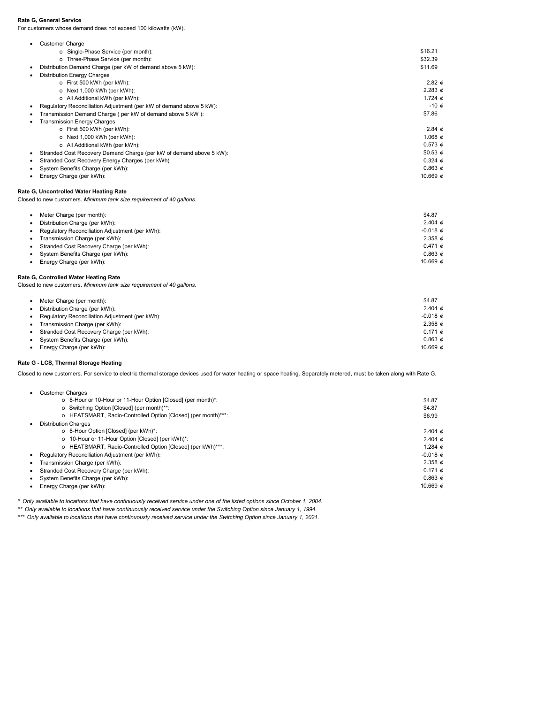# Rate G, General Service

For customers whose demand does not exceed 100 kilowatts (kW).

| ٠ | <b>Customer Charge</b>                                              |                 |
|---|---------------------------------------------------------------------|-----------------|
|   | o Single-Phase Service (per month):                                 | \$16.21         |
|   | o Three-Phase Service (per month):                                  | \$32.39         |
| ٠ | Distribution Demand Charge (per kW of demand above 5 kW):           | \$11.69         |
| ٠ | <b>Distribution Energy Charges</b>                                  |                 |
|   | o First 500 kWh (per kWh):                                          | 2.82 $\phi$     |
|   | o Next 1,000 kWh (per kWh):                                         | 2.283 $\phi$    |
|   | o All Additional kWh (per kWh):                                     | 1.724 $\phi$    |
| ٠ | Regulatory Reconciliation Adjustment (per kW of demand above 5 kW): | $-10 \notin$    |
| ٠ | Transmission Demand Charge (per kW of demand above 5 kW):           | \$7.86          |
| ٠ | <b>Transmission Energy Charges</b>                                  |                 |
|   | o First 500 kWh (per kWh):                                          | 2.84 $\phi$     |
|   | o Next 1,000 kWh (per kWh):                                         | 1.068 $\phi$    |
|   | o All Additional kWh (per kWh):                                     | $0.573 \notin$  |
| ٠ | Stranded Cost Recovery Demand Charge (per kW of demand above 5 kW): | \$0.53 $\phi$   |
| ٠ | Stranded Cost Recovery Energy Charges (per kWh)                     | $0.324 \; \phi$ |
| ٠ | System Benefits Charge (per kWh):                                   | $0.863 \notin$  |
|   | Energy Charge (per kWh):                                            | 10.669 $\phi$   |
|   |                                                                     |                 |

# Rate G, Uncontrolled Water Heating Rate

Closed to new customers. Minimum tank size requirement of 40 gallons.

| Meter Charge (per month):                       | \$4.87        |
|-------------------------------------------------|---------------|
| Distribution Charge (per kWh):                  | 2.404 $\phi$  |
| Regulatory Reconciliation Adjustment (per kWh): | $-0.018$ $d$  |
| Transmission Charge (per kWh):                  | 2.358 $\phi$  |
| Stranded Cost Recovery Charge (per kWh):        | $0.471 \; d$  |
| System Benefits Charge (per kWh):               | $0.863 \, d$  |
| Energy Charge (per kWh):                        | 10.669 $\phi$ |

# Rate G, Controlled Water Heating Rate

Closed to new customers. Minimum tank size requirement of 40 gallons.

|           | Meter Charge (per month):                       | \$4.87       |
|-----------|-------------------------------------------------|--------------|
|           | Distribution Charge (per kWh):                  | 2.404 $\phi$ |
|           | Regulatory Reconciliation Adjustment (per kWh): | $-0.018$ $d$ |
| $\bullet$ | Transmission Charge (per kWh):                  | 2.358 $\phi$ |
|           | Stranded Cost Recovery Charge (per kWh):        | $0.171 \; d$ |
|           | System Benefits Charge (per kWh):               | 0.863 d      |
|           | Energy Charge (per kWh):                        | 10.669 $d$   |

# Rate G - LCS, Thermal Storage Heating

Closed to new customers. For service to electric thermal storage devices used for water heating or space heating. Separately metered, must be taken along with Rate G.

| <b>Customer Charges</b> |  |
|-------------------------|--|
|                         |  |

| o 8-Hour or 10-Hour or 11-Hour Option [Closed] (per month)*:  | \$4.87          |
|---------------------------------------------------------------|-----------------|
| o Switching Option [Closed] (per month)**:                    | \$4.87          |
| o HEATSMART, Radio-Controlled Option [Closed] (per month)***: | \$6.99          |
| <b>Distribution Charges</b>                                   |                 |
| o 8-Hour Option [Closed] (per kWh)*:                          | 2.404 $\phi$    |
| o 10-Hour or 11-Hour Option [Closed] (per kWh)*:              | 2.404 $\phi$    |
| o HEATSMART, Radio-Controlled Option [Closed] (per kWh)***:   | 1.284 $\phi$    |
| Regulatory Reconciliation Adjustment (per kWh):               | $-0.018 \notin$ |
| Transmission Charge (per kWh):                                | 2.358 $\phi$    |
| Stranded Cost Recovery Charge (per kWh):                      | $0.171 \; d$    |
| • System Benefits Charge (per kWh):                           |                 |
| Energy Charge (per kWh):                                      | 10.669 $d$      |

\* Only available to locations that have continuously received service under one of the listed options since October 1, 2004.

\*\* Only available to locations that have continuously received service under the Switching Option since January 1, 1994.

\*\*\* Only available to locations that have continuously received service under the Switching Option since January 1, 2021.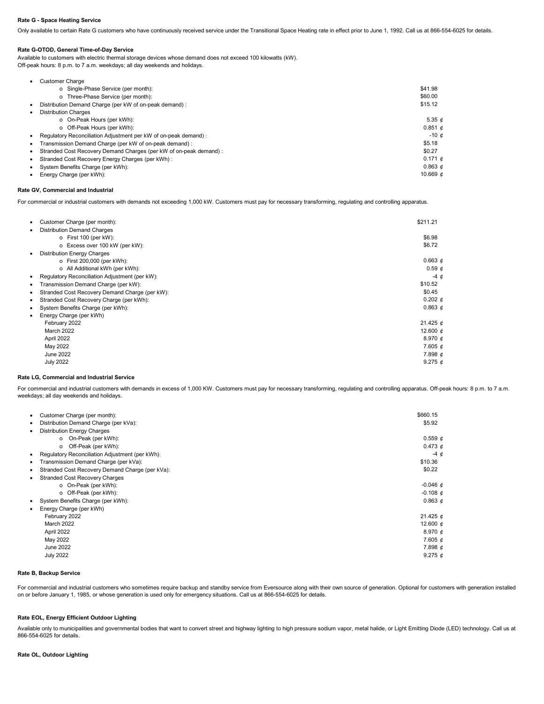#### Rate G - Space Heating Service

Only available to certain Rate G customers who have continuously received service under the Transitional Space Heating rate in effect prior to June 1, 1992. Call us at 866-554-6025 for details.

## Rate G-OTOD, General Time-of-Day Service

Available to customers with electric thermal storage devices whose demand does not exceed 100 kilowatts (kW). Off-peak hours: 8 p.m. to 7 a.m. weekdays; all day weekends and holidays.

| <b>Customer Charge</b>                                            |                 |
|-------------------------------------------------------------------|-----------------|
| o Single-Phase Service (per month):                               | \$41.98         |
| o Three-Phase Service (per month):                                | \$60.00         |
| Distribution Demand Charge (per kW of on-peak demand):            | \$15.12         |
| <b>Distribution Charges</b>                                       |                 |
| o On-Peak Hours (per kWh):                                        | 5.35 $d$        |
| o Off-Peak Hours (per kWh):                                       | $0.851 \; d$    |
| Regulatory Reconciliation Adjustment per kW of on-peak demand):   | $-10c$          |
| Transmission Demand Charge (per kW of on-peak demand) :           | \$5.18          |
| Stranded Cost Recovery Demand Charges (per kW of on-peak demand): | \$0.27          |
| Stranded Cost Recovery Energy Charges (per kWh):                  | $0.171 \; \phi$ |
| System Benefits Charge (per kWh):                                 | $0.863 \t{d}$   |
| Energy Charge (per kWh):                                          | 10.669 $d$      |

## Rate GV, Commercial and Industrial

For commercial or industrial customers with demands not exceeding 1,000 kW. Customers must pay for necessary transforming, regulating and controlling apparatus.

| Customer Charge (per month):                   | \$211.21       |
|------------------------------------------------|----------------|
| <b>Distribution Demand Charges</b>             |                |
| o First 100 (per kW):                          | \$6.98         |
| o Excess over 100 kW (per kW):                 | \$6.72         |
| <b>Distribution Energy Charges</b>             |                |
| o First 200,000 (per kWh):                     | $0.663 \notin$ |
| o All Additional kWh (per kWh):                | $0.59 \t{c}$   |
| Regulatory Reconciliation Adjustment (per kW): | $-4 \phi$      |
| Transmission Demand Charge (per kW):           | \$10.52        |
| Stranded Cost Recovery Demand Charge (per kW): | \$0.45         |
| Stranded Cost Recovery Charge (per kWh):       | $0.202 \notin$ |
| System Benefits Charge (per kWh):              | $0.863 \notin$ |
| Energy Charge (per kWh)                        |                |
| February 2022                                  | 21.425 $\phi$  |
| March 2022                                     | 12.600 $\phi$  |
| April 2022                                     | 8.970 $\phi$   |
| May 2022                                       | 7.605 $\phi$   |
| June 2022                                      | 7.898 $\phi$   |
| <b>July 2022</b>                               | 9.275 $\phi$   |
|                                                |                |

#### Rate LG, Commercial and Industrial Service

For commercial and industrial customers with demands in excess of 1,000 KW. Customers must pay for necessary transforming, regulating and controlling apparatus. Off-peak hours: 8 p.m. to 7 a.m. weekdays; all day weekends and holidays.

| Customer Charge (per month):                    | \$660.15        |
|-------------------------------------------------|-----------------|
| Distribution Demand Charge (per kVa):           | \$5.92          |
| <b>Distribution Energy Charges</b>              |                 |
| On-Peak (per kWh):<br>o                         | $0.559 \notin$  |
| Off-Peak (per kWh):<br>o                        | $0.473 \notin$  |
| Regulatory Reconciliation Adjustment (per kWh): | $-4 \phi$       |
| Transmission Demand Charge (per kVa):           | \$10.36         |
| Stranded Cost Recovery Demand Charge (per kVa): | \$0.22          |
| <b>Stranded Cost Recovery Charges</b>           |                 |
| o On-Peak (per kWh):                            | $-0.046 \notin$ |
| o Off-Peak (per kWh):                           | $-0.108 \notin$ |
| System Benefits Charge (per kWh):               | $0.863 \notin$  |
| Energy Charge (per kWh)                         |                 |
| February 2022                                   | 21.425 $\phi$   |
| March 2022                                      | 12.600 $\phi$   |
| April 2022                                      | 8.970 $\phi$    |
| May 2022                                        | 7.605 $\phi$    |
| June 2022                                       | $7.898 \notin$  |
| <b>July 2022</b>                                | 9.275 $\phi$    |

### Rate B, Backup Service

For commercial and industrial customers who sometimes require backup and standby service from Eversource along with their own source of generation. Optional for customers with generation installed<br>on or before January 1, 1

## Rate EOL, Energy Efficient Outdoor Lighting

Available only to municipalities and governmental bodies that want to convert street and highway lighting to high pressure sodium vapor, metal halide, or Light Emitting Diode (LED) technology. Call us at 866-554-6025 for details.